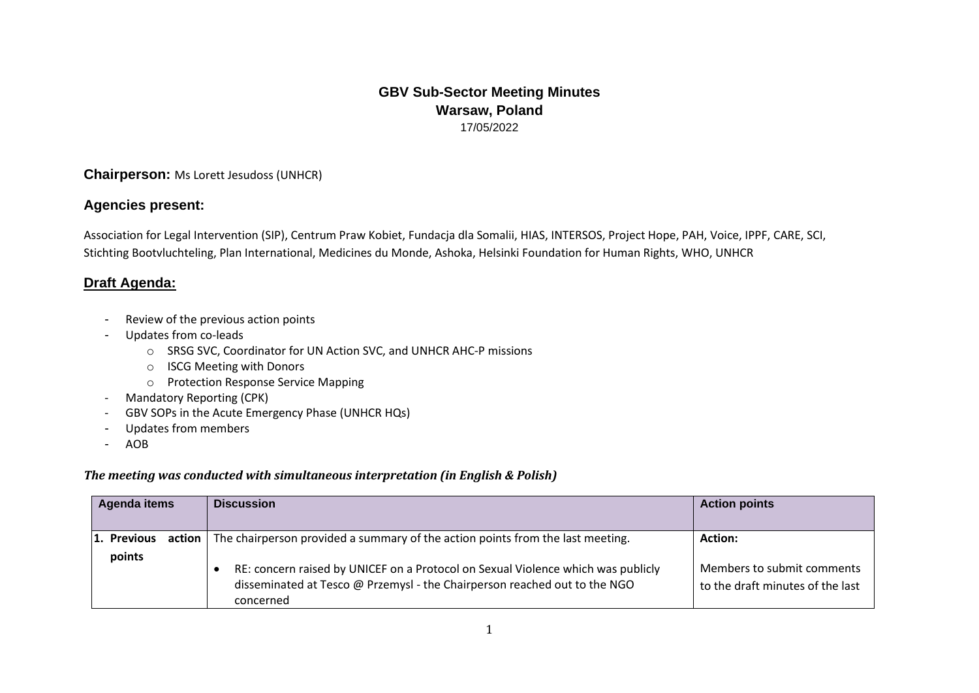# **GBV Sub-Sector Meeting Minutes Warsaw, Poland** 17/05/2022

# **Chairperson:** Ms Lorett Jesudoss (UNHCR)

### **Agencies present:**

Association for Legal Intervention (SIP), Centrum Praw Kobiet, Fundacja dla Somalii, HIAS, INTERSOS, Project Hope, PAH, Voice, IPPF, CARE, SCI, Stichting Bootvluchteling, Plan International, Medicines du Monde, Ashoka, Helsinki Foundation for Human Rights, WHO, UNHCR

# **Draft Agenda:**

- Review of the previous action points
- Updates from co-leads
	- o SRSG SVC, Coordinator for UN Action SVC, and UNHCR AHC-P missions
	- o ISCG Meeting with Donors
	- o Protection Response Service Mapping
- Mandatory Reporting (CPK)
- GBV SOPs in the Acute Emergency Phase (UNHCR HQs)
- Updates from members
- AOB

#### *The meeting was conducted with simultaneous interpretation (in English & Polish)*

| Agenda items          | <b>Discussion</b>                                                                                                                                                                                                                                                           | <b>Action points</b>                                                             |
|-----------------------|-----------------------------------------------------------------------------------------------------------------------------------------------------------------------------------------------------------------------------------------------------------------------------|----------------------------------------------------------------------------------|
| 1. Previous<br>points | action $\vert$ The chairperson provided a summary of the action points from the last meeting.<br>RE: concern raised by UNICEF on a Protocol on Sexual Violence which was publicly<br>disseminated at Tesco @ Przemysl - the Chairperson reached out to the NGO<br>concerned | <b>Action:</b><br>Members to submit comments<br>to the draft minutes of the last |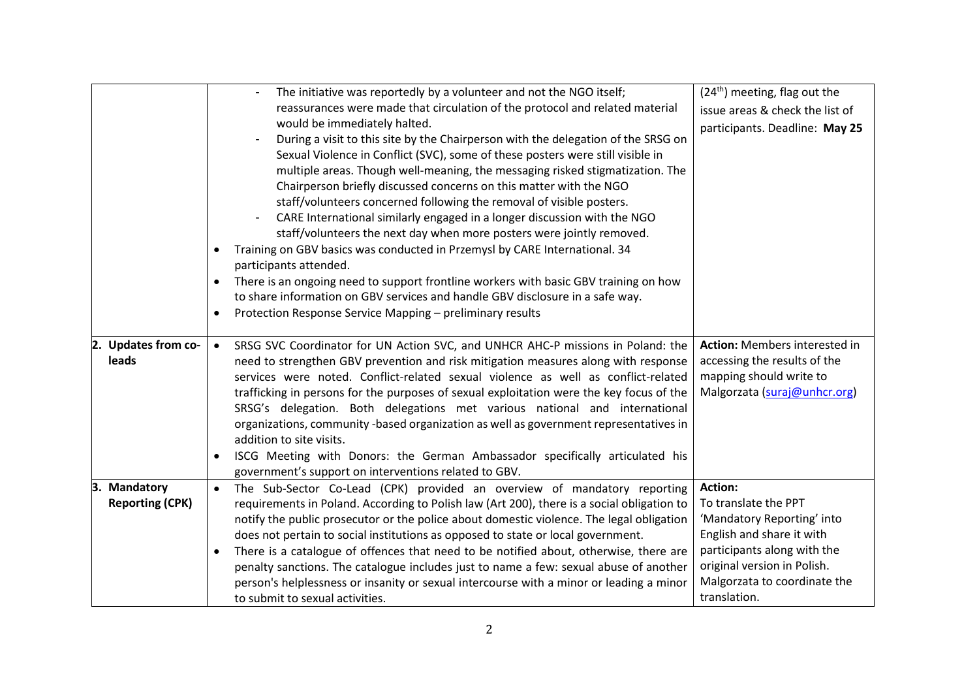|                                                  | The initiative was reportedly by a volunteer and not the NGO itself;<br>reassurances were made that circulation of the protocol and related material<br>would be immediately halted.<br>During a visit to this site by the Chairperson with the delegation of the SRSG on<br>Sexual Violence in Conflict (SVC), some of these posters were still visible in                                                                                                                                                                                                                                                                                                                                                                    | $(24th)$ meeting, flag out the<br>issue areas & check the list of<br>participants. Deadline: May 25                                                                                                             |
|--------------------------------------------------|--------------------------------------------------------------------------------------------------------------------------------------------------------------------------------------------------------------------------------------------------------------------------------------------------------------------------------------------------------------------------------------------------------------------------------------------------------------------------------------------------------------------------------------------------------------------------------------------------------------------------------------------------------------------------------------------------------------------------------|-----------------------------------------------------------------------------------------------------------------------------------------------------------------------------------------------------------------|
|                                                  | multiple areas. Though well-meaning, the messaging risked stigmatization. The<br>Chairperson briefly discussed concerns on this matter with the NGO<br>staff/volunteers concerned following the removal of visible posters.<br>CARE International similarly engaged in a longer discussion with the NGO<br>staff/volunteers the next day when more posters were jointly removed.<br>Training on GBV basics was conducted in Przemysl by CARE International. 34<br>participants attended.<br>There is an ongoing need to support frontline workers with basic GBV training on how<br>to share information on GBV services and handle GBV disclosure in a safe way.<br>Protection Response Service Mapping - preliminary results |                                                                                                                                                                                                                 |
| 2. Updates from co-<br>leads                     | SRSG SVC Coordinator for UN Action SVC, and UNHCR AHC-P missions in Poland: the<br>$\bullet$<br>need to strengthen GBV prevention and risk mitigation measures along with response<br>services were noted. Conflict-related sexual violence as well as conflict-related<br>trafficking in persons for the purposes of sexual exploitation were the key focus of the<br>SRSG's delegation. Both delegations met various national and international<br>organizations, community -based organization as well as government representatives in<br>addition to site visits.<br>ISCG Meeting with Donors: the German Ambassador specifically articulated his<br>government's support on interventions related to GBV.                | Action: Members interested in<br>accessing the results of the<br>mapping should write to<br>Malgorzata (suraj@unhcr.org)                                                                                        |
| З.<br><b>Mandatory</b><br><b>Reporting (CPK)</b> | The Sub-Sector Co-Lead (CPK) provided an overview of mandatory reporting<br>$\bullet$<br>requirements in Poland. According to Polish law (Art 200), there is a social obligation to<br>notify the public prosecutor or the police about domestic violence. The legal obligation<br>does not pertain to social institutions as opposed to state or local government.<br>There is a catalogue of offences that need to be notified about, otherwise, there are<br>penalty sanctions. The catalogue includes just to name a few: sexual abuse of another<br>person's helplessness or insanity or sexual intercourse with a minor or leading a minor<br>to submit to sexual activities.                                            | <b>Action:</b><br>To translate the PPT<br>'Mandatory Reporting' into<br>English and share it with<br>participants along with the<br>original version in Polish.<br>Malgorzata to coordinate the<br>translation. |